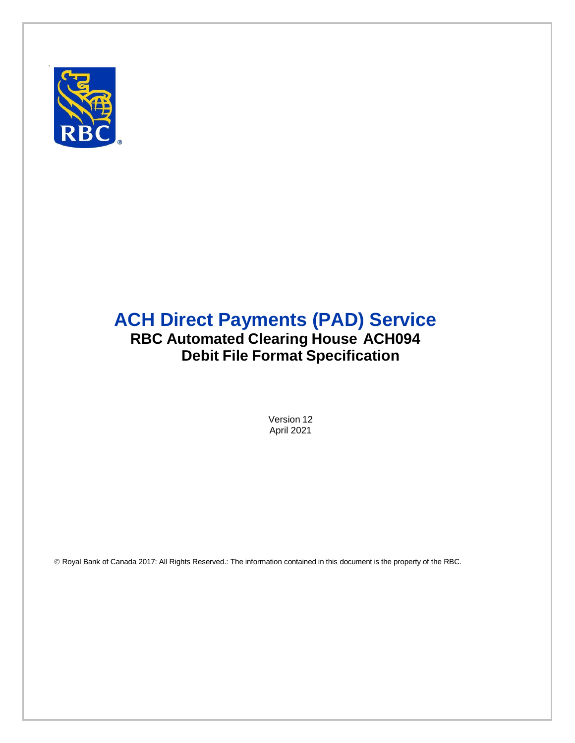

# **ACH Direct Payments (PAD) Service RBC Automated Clearing House ACH094 Debit File Format Specification**

Version 12 April 2021

Royal Bank of Canada 2017: All Rights Reserved.: The information contained in this document is the property of the RBC.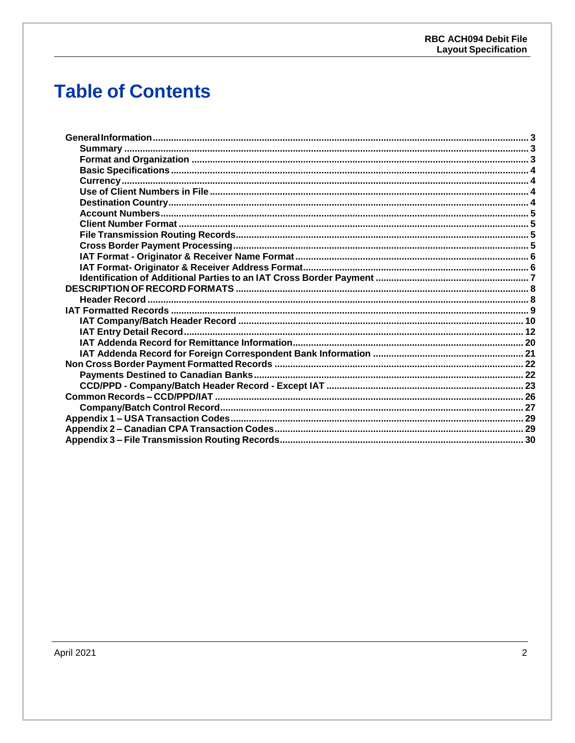# **Table of Contents**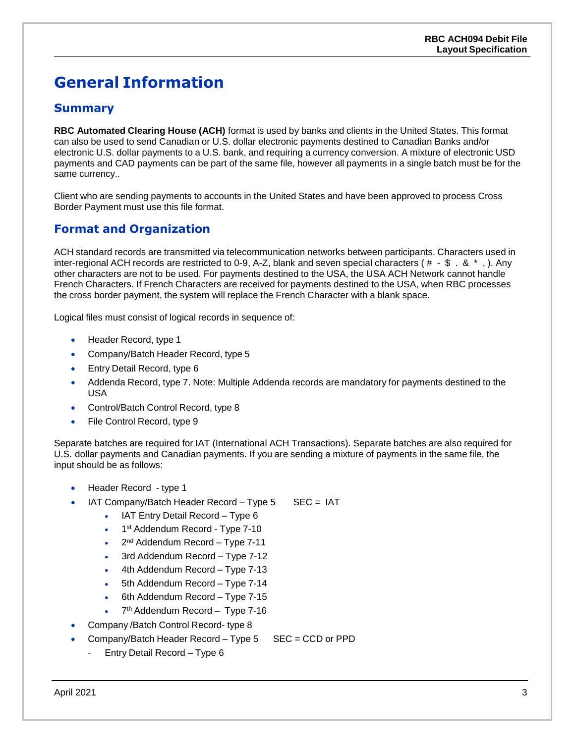# <span id="page-2-0"></span>**General Information**

### <span id="page-2-1"></span>**Summary**

**RBC Automated Clearing House (ACH)** format is used by banks and clients in the United States. This format can also be used to send Canadian or U.S. dollar electronic payments destined to Canadian Banks and/or electronic U.S. dollar payments to a U.S. bank, and requiring a currency conversion. A mixture of electronic USD payments and CAD payments can be part of the same file, however all payments in a single batch must be for the same currency..

Client who are sending payments to accounts in the United States and have been approved to process Cross Border Payment must use this file format.

### <span id="page-2-2"></span>**Format and Organization**

ACH standard records are transmitted via telecommunication networks between participants. Characters used in inter-regional ACH records are restricted to 0-9, A-Z, blank and seven special characters ( $# -$  \$  $\cdot$  &  $*$ , ). Any other characters are not to be used. For payments destined to the USA, the USA ACH Network cannot handle French Characters. If French Characters are received for payments destined to the USA, when RBC processes the cross border payment, the system will replace the French Character with a blank space.

Logical files must consist of logical records in sequence of:

- Header Record, type 1
- Company/Batch Header Record, type 5
- Entry Detail Record, type 6
- Addenda Record, type 7. Note: Multiple Addenda records are mandatory for payments destined to the USA
- Control/Batch Control Record, type 8
- File Control Record, type 9

Separate batches are required for IAT (International ACH Transactions). Separate batches are also required for U.S. dollar payments and Canadian payments. If you are sending a mixture of payments in the same file, the input should be as follows:

- Header Record type 1
- IAT Company/Batch Header Record Type 5 SEC = IAT
	- IAT Entry Detail Record Type 6
	- 1<sup>st</sup> Addendum Record Type 7-10
	- $\bullet$  2<sup>nd</sup> Addendum Record Type 7-11
	- 3rd Addendum Record Type 7-12
	- 4th Addendum Record Type 7-13
	- 5th Addendum Record Type 7-14
	- 6th Addendum Record Type 7-15
	- 7<sup>th</sup> Addendum Record Type 7-16
- Company /Batch Control Record- type 8
- Company/Batch Header Record Type 5 SEC = CCD or PPD
	- Entry Detail Record Type 6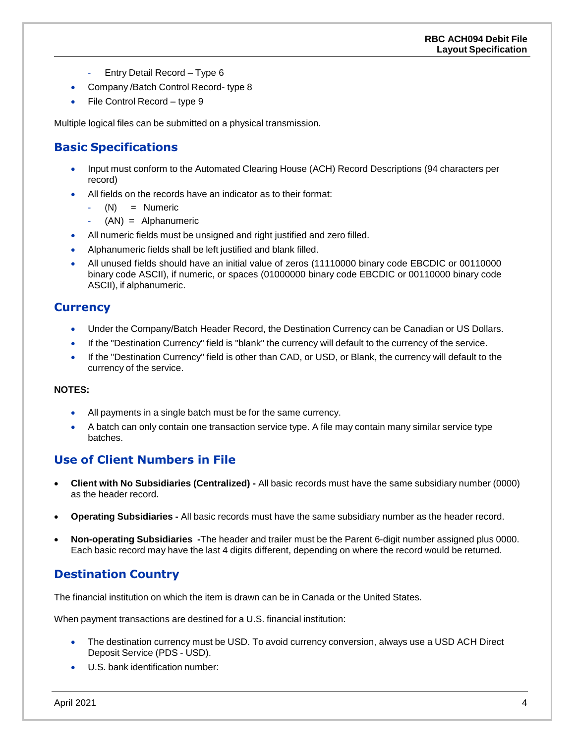- Entry Detail Record Type 6
- Company / Batch Control Record- type 8
- $\bullet$  File Control Record type 9

Multiple logical files can be submitted on a physical transmission.

### <span id="page-3-0"></span>**Basic Specifications**

- Input must conform to the Automated Clearing House (ACH) Record Descriptions (94 characters per record)
- All fields on the records have an indicator as to their format:
	- $(N)$  = Numeric
	- $(AN) = Alphantumeric$
- All numeric fields must be unsigned and right justified and zero filled.
- Alphanumeric fields shall be left justified and blank filled.
- All unused fields should have an initial value of zeros (11110000 binary code EBCDIC or 00110000 binary code ASCII), if numeric, or spaces (01000000 binary code EBCDIC or 00110000 binary code ASCII), if alphanumeric.

#### <span id="page-3-1"></span>**Currency**

- Under the Company/Batch Header Record, the Destination Currency can be Canadian or US Dollars.
- If the "Destination Currency" field is "blank" the currency will default to the currency of the service.
- If the "Destination Currency" field is other than CAD, or USD, or Blank, the currency will default to the currency of the service.

#### **NOTES:**

- All payments in a single batch must be for the same currency.
- A batch can only contain one transaction service type. A file may contain many similar service type batches.

#### <span id="page-3-2"></span>**Use of Client Numbers in File**

- **Client with No Subsidiaries (Centralized) -** All basic records must have the same subsidiary number (0000) as the header record.
- **Operating Subsidiaries -** All basic records must have the same subsidiary number as the header record.
- **Non-operating Subsidiaries -**The header and trailer must be the Parent 6-digit number assigned plus 0000. Each basic record may have the last 4 digits different, depending on where the record would be returned.

### <span id="page-3-3"></span>**Destination Country**

The financial institution on which the item is drawn can be in Canada or the United States.

When payment transactions are destined for a U.S. financial institution:

- The destination currency must be USD. To avoid currency conversion, always use a USD ACH Direct Deposit Service (PDS - USD).
- U.S. bank identification number: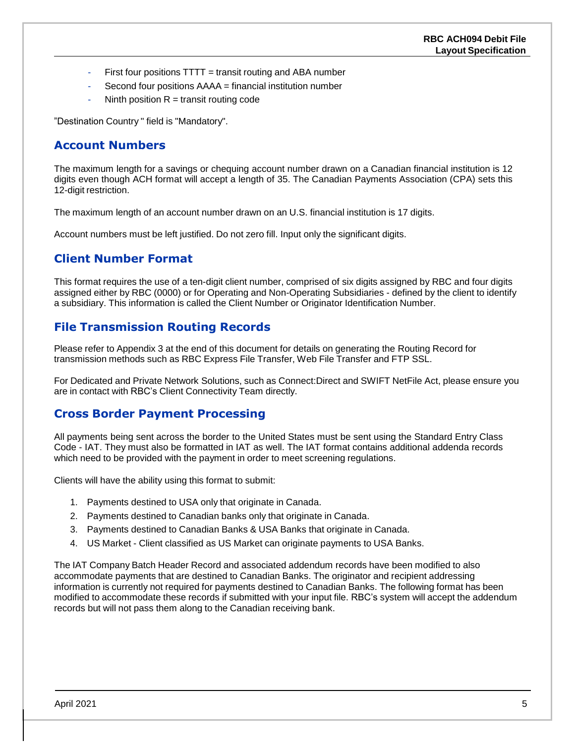- First four positions TTTT = transit routing and ABA number
- Second four positions AAAA = financial institution number
- Ninth position  $R =$  transit routing code

"Destination Country " field is "Mandatory".

### <span id="page-4-0"></span>**Account Numbers**

The maximum length for a savings or chequing account number drawn on a Canadian financial institution is 12 digits even though ACH format will accept a length of 35. The Canadian Payments Association (CPA) sets this 12-digit restriction.

The maximum length of an account number drawn on an U.S. financial institution is 17 digits.

Account numbers must be left justified. Do not zero fill. Input only the significant digits.

### <span id="page-4-1"></span>**Client Number Format**

This format requires the use of a ten-digit client number, comprised of six digits assigned by RBC and four digits assigned either by RBC (0000) or for Operating and Non-Operating Subsidiaries - defined by the client to identify a subsidiary. This information is called the Client Number or Originator Identification Number.

### <span id="page-4-2"></span>**File Transmission Routing Records**

Please refer to Appendix 3 at the end of this document for details on generating the Routing Record for transmission methods such as RBC Express File Transfer, Web File Transfer and FTP SSL.

For Dedicated and Private Network Solutions, such as Connect:Direct and SWIFT NetFile Act, please ensure you are in contact with RBC's Client Connectivity Team directly.

#### <span id="page-4-3"></span>**Cross Border Payment Processing**

All payments being sent across the border to the United States must be sent using the Standard Entry Class Code - IAT. They must also be formatted in IAT as well. The IAT format contains additional addenda records which need to be provided with the payment in order to meet screening regulations.

Clients will have the ability using this format to submit:

- 1. Payments destined to USA only that originate in Canada.
- 2. Payments destined to Canadian banks only that originate in Canada.
- 3. Payments destined to Canadian Banks & USA Banks that originate in Canada.
- 4. US Market Client classified as US Market can originate payments to USA Banks.

The IAT Company Batch Header Record and associated addendum records have been modified to also accommodate payments that are destined to Canadian Banks. The originator and recipient addressing information is currently not required for payments destined to Canadian Banks. The following format has been modified to accommodate these records if submitted with your input file. RBC's system will accept the addendum records but will not pass them along to the Canadian receiving bank.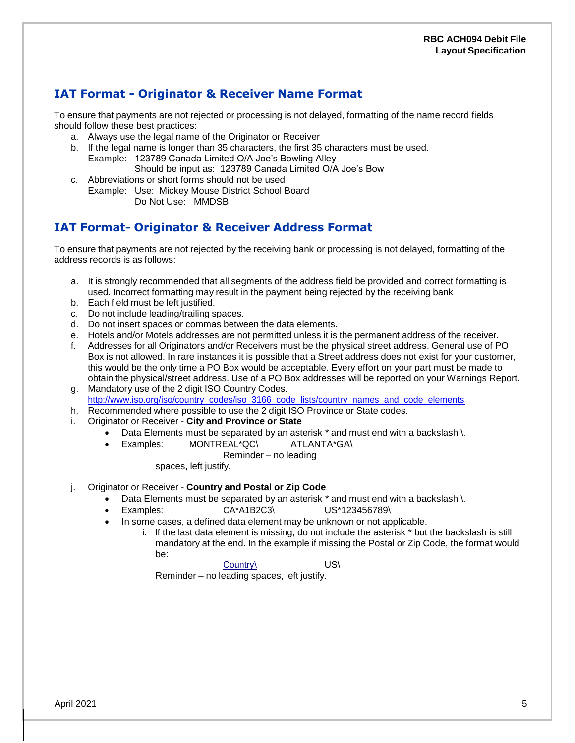## <span id="page-5-0"></span>**IAT Format - Originator & Receiver Name Format**

To ensure that payments are not rejected or processing is not delayed, formatting of the name record fields should follow these best practices:

- a. Always use the legal name of the Originator or Receiver
- b. If the legal name is longer than 35 characters, the first 35 characters must be used. Example: 123789 Canada Limited O/A Joe's Bowling Alley
	- Should be input as: 123789 Canada Limited O/A Joe's Bow
- c. Abbreviations or short forms should not be used
- Example: Use: Mickey Mouse District School Board Do Not Use: MMDSB

### <span id="page-5-1"></span>**IAT Format- Originator & Receiver Address Format**

To ensure that payments are not rejected by the receiving bank or processing is not delayed, formatting of the address records is as follows:

- a. It is strongly recommended that all segments of the address field be provided and correct formatting is used. Incorrect formatting may result in the payment being rejected by the receiving bank
- b. Each field must be left justified.
- c. Do not include leading/trailing spaces.
- d. Do not insert spaces or commas between the data elements.
- e. Hotels and/or Motels addresses are not permitted unless it is the permanent address of the receiver.
- f. Addresses for all Originators and/or Receivers must be the physical street address. General use of PO Box is not allowed. In rare instances it is possible that a Street address does not exist for your customer, this would be the only time a PO Box would be acceptable. Every effort on your part must be made to obtain the physical/street address. Use of a PO Box addresses will be reported on your Warnings Report.
- g. Mandatory use of the 2 digit ISO Country Codes. [http://www.iso.org/iso/country\\_codes/iso\\_3166\\_code\\_lists/country\\_names\\_and\\_code\\_elements](http://www.iso.org/iso/country_codes/iso_3166_code_lists/country_names_and_code_elements)
- h. Recommended where possible to use the 2 digit ISO Province or State codes.
- i. Originator or Receiver **City and Province or State**
	- Data Elements must be separated by an asterisk \* and must end with a backslash \.
		- Examples: MONTREAL\*QC\ ATLANTA\*GA\
			- Reminder no leading

spaces, left justify.

- j. Originator or Receiver **Country and Postal or Zip Code**
	- Data Elements must be separated by an asterisk \* and must end with a backslash \.
	- Examples: CA\*A1B2C3\ US\*123456789\
		- In some cases, a defined data element may be unknown or not applicable.
			- i. If the last data element is missing, do not include the asterisk \* but the backslash is still mandatory at the end. In the example if missing the Postal or Zip Code, the format would be:

Country\ US\

Reminder – no leading spaces, left justify.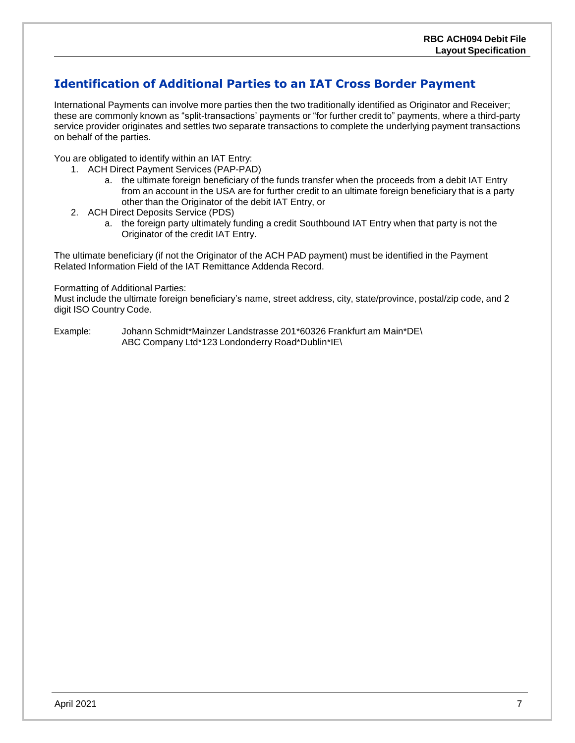## <span id="page-6-0"></span>**Identification of Additional Parties to an IAT Cross Border Payment**

International Payments can involve more parties then the two traditionally identified as Originator and Receiver; these are commonly known as "split-transactions' payments or "for further credit to" payments, where a third-party service provider originates and settles two separate transactions to complete the underlying payment transactions on behalf of the parties.

You are obligated to identify within an IAT Entry:

- 1. ACH Direct Payment Services (PAP-PAD)
	- a. the ultimate foreign beneficiary of the funds transfer when the proceeds from a debit IAT Entry from an account in the USA are for further credit to an ultimate foreign beneficiary that is a party other than the Originator of the debit IAT Entry, or
- 2. ACH Direct Deposits Service (PDS)
	- a. the foreign party ultimately funding a credit Southbound IAT Entry when that party is not the Originator of the credit IAT Entry.

The ultimate beneficiary (if not the Originator of the ACH PAD payment) must be identified in the Payment Related Information Field of the IAT Remittance Addenda Record.

#### Formatting of Additional Parties:

Must include the ultimate foreign beneficiary's name, street address, city, state/province, postal/zip code, and 2 digit ISO Country Code.

Example: Johann Schmidt\*Mainzer Landstrasse 201\*60326 Frankfurt am Main\*DE\ ABC Company Ltd\*123 Londonderry Road\*Dublin\*IE\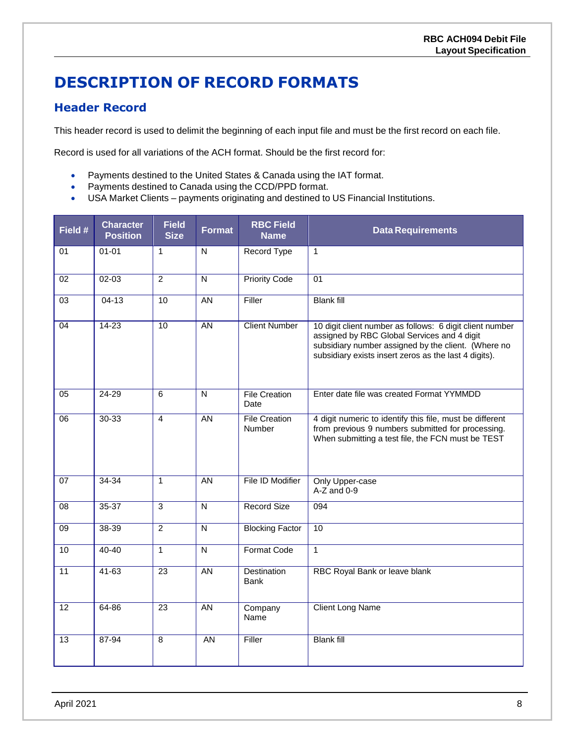# <span id="page-7-0"></span>**DESCRIPTION OF RECORD FORMATS**

### <span id="page-7-1"></span>**Header Record**

This header record is used to delimit the beginning of each input file and must be the first record on each file.

Record is used for all variations of the ACH format. Should be the first record for:

- Payments destined to the United States & Canada using the IAT format.
- Payments destined to Canada using the CCD/PPD format.
- USA Market Clients payments originating and destined to US Financial Institutions.

| Field #         | <b>Character</b><br><b>Position</b> | <b>Field</b><br><b>Size</b> | <b>Format</b>           | <b>RBC Field</b><br><b>Name</b>       | <b>Data Requirements</b>                                                                                                                                                                                                |
|-----------------|-------------------------------------|-----------------------------|-------------------------|---------------------------------------|-------------------------------------------------------------------------------------------------------------------------------------------------------------------------------------------------------------------------|
| 01              | $01 - 01$                           | $\mathbf{1}$                | N                       | Record Type                           | $\mathbf{1}$                                                                                                                                                                                                            |
| 02              | $02 - 03$                           | $\overline{2}$              | $\overline{\mathsf{N}}$ | <b>Priority Code</b>                  | 01                                                                                                                                                                                                                      |
| 03              | $04 - 13$                           | 10                          | <b>AN</b>               | Filler                                | <b>Blank fill</b>                                                                                                                                                                                                       |
| 04              | $14 - 23$                           | 10                          | $\overline{AN}$         | <b>Client Number</b>                  | 10 digit client number as follows: 6 digit client number<br>assigned by RBC Global Services and 4 digit<br>subsidiary number assigned by the client. (Where no<br>subsidiary exists insert zeros as the last 4 digits). |
| 05              | 24-29                               | 6                           | N                       | <b>File Creation</b><br>Date          | Enter date file was created Format YYMMDD                                                                                                                                                                               |
| $\overline{06}$ | $30 - 33$                           | $\overline{4}$              | AN                      | <b>File Creation</b><br><b>Number</b> | 4 digit numeric to identify this file, must be different<br>from previous 9 numbers submitted for processing.<br>When submitting a test file, the FCN must be TEST                                                      |
| 07              | $34 - 34$                           | $\mathbf{1}$                | <b>AN</b>               | File ID Modifier                      | Only Upper-case<br>$A-Z$ and $0-9$                                                                                                                                                                                      |
| 08              | 35-37                               | 3                           | N                       | Record Size                           | 094                                                                                                                                                                                                                     |
| 09              | $38 - 39$                           | $\overline{2}$              | N                       | <b>Blocking Factor</b>                | 10                                                                                                                                                                                                                      |
| 10              | $40 - 40$                           | $\overline{1}$              | $\overline{\mathsf{N}}$ | <b>Format Code</b>                    | $\mathbf{1}$                                                                                                                                                                                                            |
| $\overline{11}$ | $41 - 63$                           | $\overline{23}$             | <b>AN</b>               | <b>Destination</b><br><b>Bank</b>     | RBC Royal Bank or leave blank                                                                                                                                                                                           |
| $\overline{12}$ | $64 - 86$                           | $\overline{23}$             | <b>AN</b>               | Company<br>Name                       | <b>Client Long Name</b>                                                                                                                                                                                                 |
| 13              | 87-94                               | $\overline{8}$              | AN                      | Filler                                | <b>Blank fill</b>                                                                                                                                                                                                       |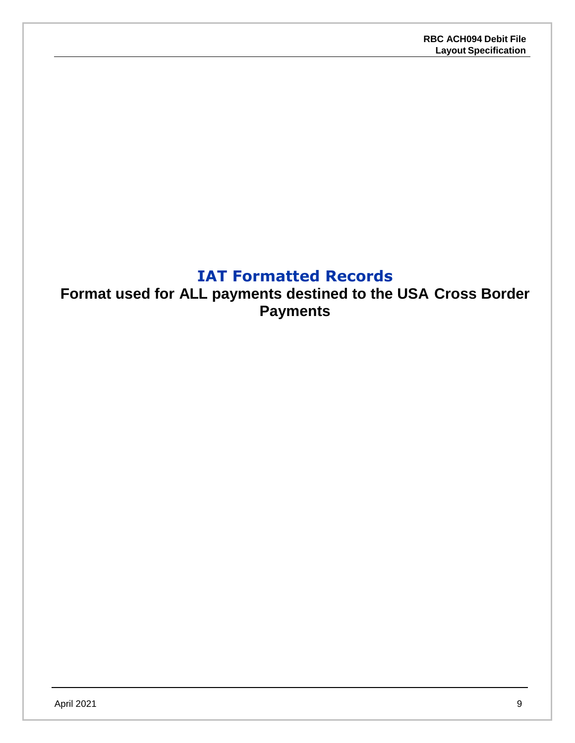## **IAT Formatted Records**

<span id="page-8-0"></span>**Format used for ALL payments destined to the USA Cross Border Payments**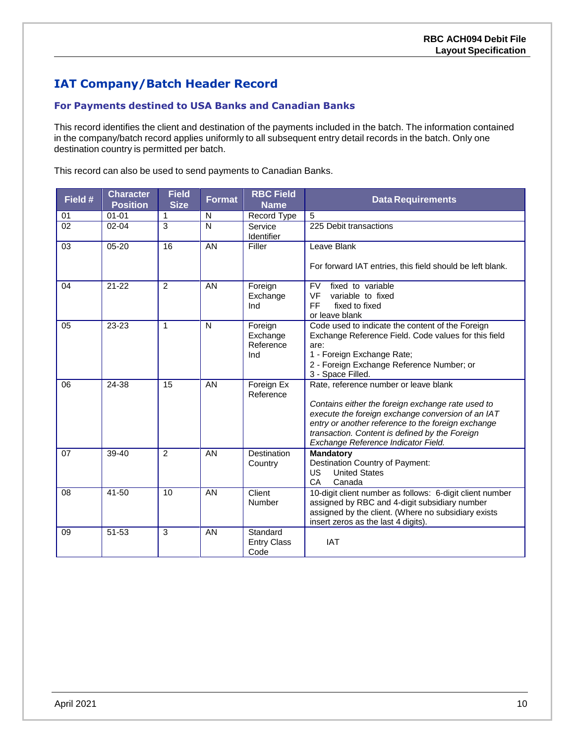## <span id="page-9-0"></span>**IAT Company/Batch Header Record**

#### **For Payments destined to USA Banks and Canadian Banks**

This record identifies the client and destination of the payments included in the batch. The information contained in the company/batch record applies uniformly to all subsequent entry detail records in the batch. Only one destination country is permitted per batch.

This record can also be used to send payments to Canadian Banks.

| Field #         | <b>Character</b><br><b>Position</b> | <b>Field</b><br><b>Size</b> | <b>Format</b> | <b>RBC Field</b><br><b>Name</b>         | <b>Data Requirements</b>                                                                                                                                                                                                                                                                       |
|-----------------|-------------------------------------|-----------------------------|---------------|-----------------------------------------|------------------------------------------------------------------------------------------------------------------------------------------------------------------------------------------------------------------------------------------------------------------------------------------------|
| 01              | $01 - 01$                           | 1                           | N             | Record Type                             | 5                                                                                                                                                                                                                                                                                              |
| $\overline{02}$ | $02 - 04$                           | 3                           | N             | Service<br>Identifier                   | 225 Debit transactions                                                                                                                                                                                                                                                                         |
| 03              | 05-20                               | 16                          | AN            | Filler                                  | Leave Blank<br>For forward IAT entries, this field should be left blank.                                                                                                                                                                                                                       |
| 04              | $21 - 22$                           | $\overline{2}$              | AN            | Foreign<br>Exchange<br>Ind              | fixed to variable<br><b>FV</b><br><b>VF</b><br>variable to fixed<br><b>FF</b><br>fixed to fixed<br>or leave blank                                                                                                                                                                              |
| 05              | 23-23                               | $\mathbf{1}$                | N             | Foreign<br>Exchange<br>Reference<br>Ind | Code used to indicate the content of the Foreign<br>Exchange Reference Field. Code values for this field<br>are:<br>1 - Foreign Exchange Rate;<br>2 - Foreign Exchange Reference Number; or<br>3 - Space Filled.                                                                               |
| 06              | 24-38                               | 15                          | AN            | Foreign Ex<br>Reference                 | Rate, reference number or leave blank<br>Contains either the foreign exchange rate used to<br>execute the foreign exchange conversion of an IAT<br>entry or another reference to the foreign exchange<br>transaction. Content is defined by the Foreign<br>Exchange Reference Indicator Field. |
| 07              | 39-40                               | $\mathfrak{p}$              | AN            | <b>Destination</b><br>Country           | <b>Mandatory</b><br>Destination Country of Payment:<br><b>United States</b><br>US<br>CA<br>Canada                                                                                                                                                                                              |
| 08              | $41 - 50$                           | 10                          | AN            | Client<br>Number                        | 10-digit client number as follows: 6-digit client number<br>assigned by RBC and 4-digit subsidiary number<br>assigned by the client. (Where no subsidiary exists<br>insert zeros as the last 4 digits).                                                                                        |
| 09              | 51-53                               | 3                           | AN            | Standard<br><b>Entry Class</b><br>Code  | <b>IAT</b>                                                                                                                                                                                                                                                                                     |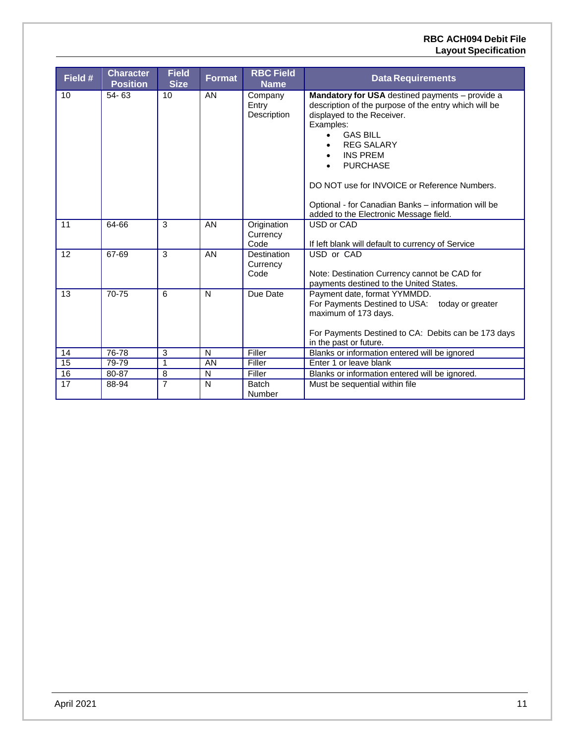#### **RBC ACH094 Debit File Layout Specification**

| Field #         | <b>Character</b><br><b>Position</b> | <b>Field</b><br><b>Size</b> | <b>Format</b> | <b>RBC Field</b><br><b>Name</b>        | <b>Data Requirements</b>                                                                                                                                                                                                                                                                                                                                                                                                  |
|-----------------|-------------------------------------|-----------------------------|---------------|----------------------------------------|---------------------------------------------------------------------------------------------------------------------------------------------------------------------------------------------------------------------------------------------------------------------------------------------------------------------------------------------------------------------------------------------------------------------------|
| 10              | 54-63                               | 10                          | <b>AN</b>     | Company<br>Entry<br>Description        | Mandatory for USA destined payments - provide a<br>description of the purpose of the entry which will be<br>displayed to the Receiver.<br>Examples:<br><b>GAS BILL</b><br>$\bullet$<br><b>REG SALARY</b><br>$\bullet$<br><b>INS PREM</b><br>$\bullet$<br><b>PURCHASE</b><br>DO NOT use for INVOICE or Reference Numbers.<br>Optional - for Canadian Banks - information will be<br>added to the Electronic Message field. |
| 11              | 64-66                               | 3                           | AN            | Origination<br>Currency<br>Code        | USD or CAD<br>If left blank will default to currency of Service                                                                                                                                                                                                                                                                                                                                                           |
| 12              | 67-69                               | 3                           | AN            | <b>Destination</b><br>Currency<br>Code | USD or CAD<br>Note: Destination Currency cannot be CAD for<br>payments destined to the United States.                                                                                                                                                                                                                                                                                                                     |
| 13              | 70-75                               | 6                           | N             | Due Date                               | Payment date, format YYMMDD.<br>For Payments Destined to USA:<br>today or greater<br>maximum of 173 days.<br>For Payments Destined to CA: Debits can be 173 days<br>in the past or future.                                                                                                                                                                                                                                |
| 14              | $76 - 78$                           | 3                           | N             | Filler                                 | Blanks or information entered will be ignored                                                                                                                                                                                                                                                                                                                                                                             |
| $\overline{15}$ | 79-79                               | $\mathbf{1}$                | AN            | Filler                                 | Enter 1 or leave blank                                                                                                                                                                                                                                                                                                                                                                                                    |
| 16              | 80-87                               | 8                           | N             | Filler                                 | Blanks or information entered will be ignored.                                                                                                                                                                                                                                                                                                                                                                            |
| 17              | 88-94                               | 7                           | N             | <b>Batch</b><br>Number                 | Must be sequential within file                                                                                                                                                                                                                                                                                                                                                                                            |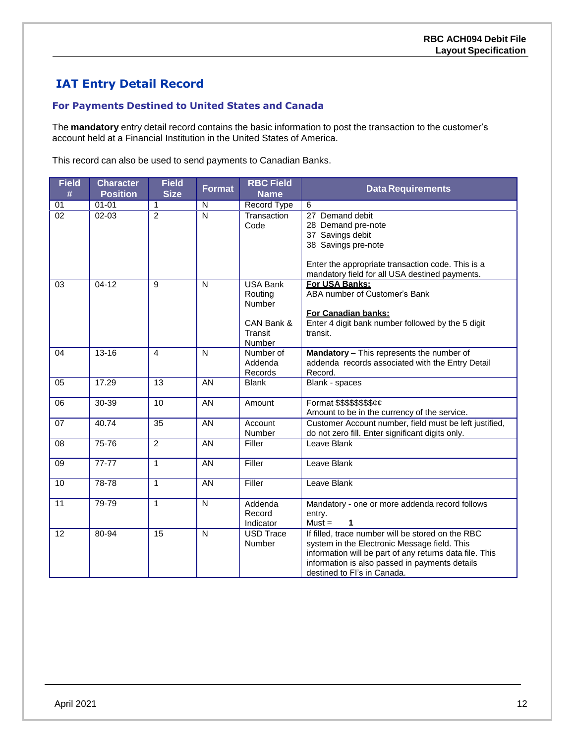## <span id="page-11-0"></span>**IAT Entry Detail Record**

#### **For Payments Destined to United States and Canada**

The **mandatory** entry detail record contains the basic information to post the transaction to the customer's account held at a Financial Institution in the United States of America.

This record can also be used to send payments to Canadian Banks.

| <b>Field</b><br># | <b>Character</b><br><b>Position</b> | <b>Field</b><br><b>Size</b> | <b>Format</b>           | <b>RBC Field</b><br><b>Name</b>                                         | <b>Data Requirements</b>                                                                                                                                                                                                                      |
|-------------------|-------------------------------------|-----------------------------|-------------------------|-------------------------------------------------------------------------|-----------------------------------------------------------------------------------------------------------------------------------------------------------------------------------------------------------------------------------------------|
| 01                | $01 - 01$                           | 1                           | N                       | Record Type                                                             | 6                                                                                                                                                                                                                                             |
| $\overline{02}$   | $02 - 03$                           | $\overline{2}$              | $\overline{\mathsf{N}}$ | Transaction<br>Code                                                     | 27 Demand debit<br>28 Demand pre-note<br>37 Savings debit<br>38 Savings pre-note<br>Enter the appropriate transaction code. This is a<br>mandatory field for all USA destined payments.                                                       |
| 03                | $04 - 12$                           | 9                           | N                       | <b>USA Bank</b><br>Routing<br>Number<br>CAN Bank &<br>Transit<br>Number | For USA Banks:<br>ABA number of Customer's Bank<br>For Canadian banks:<br>Enter 4 digit bank number followed by the 5 digit<br>transit.                                                                                                       |
| 04                | $13 - 16$                           | $\overline{4}$              | N                       | Number of<br>Addenda<br>Records                                         | Mandatory - This represents the number of<br>addenda records associated with the Entry Detail<br>Record.                                                                                                                                      |
| 05                | 17.29                               | 13                          | AN                      | <b>Blank</b>                                                            | Blank - spaces                                                                                                                                                                                                                                |
| 06                | 30-39                               | 10                          | AN                      | Amount                                                                  | Format \$\$\$\$\$\$\$\$¢¢<br>Amount to be in the currency of the service.                                                                                                                                                                     |
| 07                | 40.74                               | $\overline{35}$             | <b>AN</b>               | Account<br>Number                                                       | Customer Account number, field must be left justified,<br>do not zero fill. Enter significant digits only.                                                                                                                                    |
| $\overline{08}$   | $75 - 76$                           | $\mathfrak{p}$              | AN                      | Filler                                                                  | Leave Blank                                                                                                                                                                                                                                   |
| 09                | $77 - 77$                           | $\mathbf{1}$                | AN                      | Filler                                                                  | <b>Leave Blank</b>                                                                                                                                                                                                                            |
| 10                | 78-78                               | $\mathbf{1}$                | AN                      | Filler                                                                  | Leave Blank                                                                                                                                                                                                                                   |
| 11                | 79-79                               | $\mathbf{1}$                | N                       | Addenda<br>Record<br>Indicator                                          | Mandatory - one or more addenda record follows<br>entry.<br>$Must =$<br>1                                                                                                                                                                     |
| 12                | 80-94                               | $\overline{15}$             | N                       | <b>USD Trace</b><br>Number                                              | If filled, trace number will be stored on the RBC<br>system in the Electronic Message field. This<br>information will be part of any returns data file. This<br>information is also passed in payments details<br>destined to FI's in Canada. |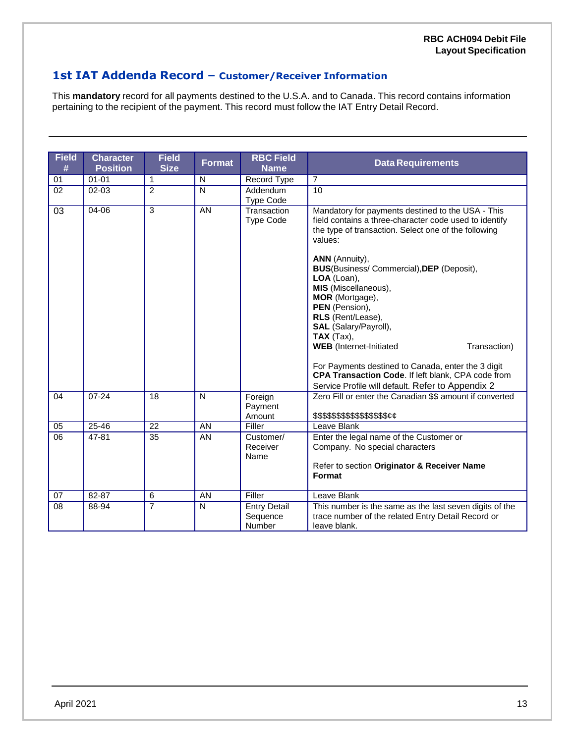### **1st IAT Addenda Record – Customer/Receiver Information**

This **mandatory** record for all payments destined to the U.S.A. and to Canada. This record contains information pertaining to the recipient of the payment. This record must follow the IAT Entry Detail Record.

| <b>Field</b><br># | <b>Character</b><br><b>Position</b> | <b>Field</b><br><b>Size</b> | <b>Format</b>           | <b>RBC Field</b><br><b>Name</b>           | <b>Data Requirements</b>                                                                                                                                                                                                                                                                                                                                                                                                                                                                                                                                                                                                          |
|-------------------|-------------------------------------|-----------------------------|-------------------------|-------------------------------------------|-----------------------------------------------------------------------------------------------------------------------------------------------------------------------------------------------------------------------------------------------------------------------------------------------------------------------------------------------------------------------------------------------------------------------------------------------------------------------------------------------------------------------------------------------------------------------------------------------------------------------------------|
| 01                | $01 - 01$                           | $\mathbf{1}$                | N                       | Record Type                               | $\overline{7}$                                                                                                                                                                                                                                                                                                                                                                                                                                                                                                                                                                                                                    |
| $\overline{02}$   | $02 - 03$                           | $\overline{2}$              | $\overline{\mathsf{N}}$ | Addendum<br><b>Type Code</b>              | 10                                                                                                                                                                                                                                                                                                                                                                                                                                                                                                                                                                                                                                |
| 03                | $04 - 06$                           | $\overline{3}$              | AN                      | Transaction<br><b>Type Code</b>           | Mandatory for payments destined to the USA - This<br>field contains a three-character code used to identify<br>the type of transaction. Select one of the following<br>values:<br><b>ANN</b> (Annuity),<br><b>BUS</b> (Business/Commercial), DEP (Deposit),<br>LOA (Loan),<br>MIS (Miscellaneous),<br>MOR (Mortgage),<br>PEN (Pension),<br>RLS (Rent/Lease),<br>SAL (Salary/Payroll),<br>$\mathsf{TAX}$ (Tax),<br><b>WEB</b> (Internet-Initiated<br>Transaction)<br>For Payments destined to Canada, enter the 3 digit<br>CPA Transaction Code. If left blank, CPA code from<br>Service Profile will default. Refer to Appendix 2 |
| 04                | $07 - 24$                           | 18                          | N                       | Foreign<br>Payment<br>Amount              | Zero Fill or enter the Canadian \$\$ amount if converted<br>\$\$\$\$\$\$\$\$\$\$\$\$\$\$\$\$&                                                                                                                                                                                                                                                                                                                                                                                                                                                                                                                                     |
| 05                | $25 - 46$                           | 22                          | AN                      | Filler                                    | Leave Blank                                                                                                                                                                                                                                                                                                                                                                                                                                                                                                                                                                                                                       |
| $\overline{06}$   | 47-81                               | $\overline{35}$             | AN                      | Customer/<br>Receiver<br>Name             | Enter the legal name of the Customer or<br>Company. No special characters<br>Refer to section Originator & Receiver Name<br>Format                                                                                                                                                                                                                                                                                                                                                                                                                                                                                                |
| 07                | 82-87                               | 6                           | AN                      | Filler                                    | Leave Blank                                                                                                                                                                                                                                                                                                                                                                                                                                                                                                                                                                                                                       |
| 08                | 88-94                               | $\overline{7}$              | N                       | <b>Entry Detail</b><br>Sequence<br>Number | This number is the same as the last seven digits of the<br>trace number of the related Entry Detail Record or<br>leave blank.                                                                                                                                                                                                                                                                                                                                                                                                                                                                                                     |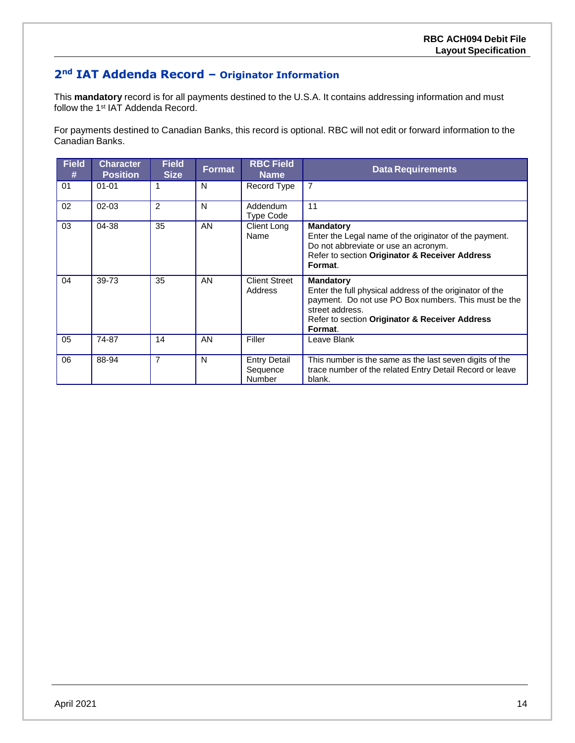## **2nd IAT Addenda Record – Originator Information**

This **mandatory** record is for all payments destined to the U.S.A. It contains addressing information and must follow the 1<sup>st</sup> IAT Addenda Record.

For payments destined to Canadian Banks, this record is optional. RBC will not edit or forward information to the Canadian Banks.

| <b>Field</b><br># | <b>Character</b><br><b>Position</b> | <b>Field</b><br><b>Size</b> | Format | <b>RBC Field</b><br><b>Name</b>           | <b>Data Requirements</b>                                                                                                                                                                                             |
|-------------------|-------------------------------------|-----------------------------|--------|-------------------------------------------|----------------------------------------------------------------------------------------------------------------------------------------------------------------------------------------------------------------------|
| 01                | $01 - 01$                           | 1                           | N      | Record Type                               | $\overline{7}$                                                                                                                                                                                                       |
| 02                | $02 - 03$                           | 2                           | N      | Addendum<br><b>Type Code</b>              | 11                                                                                                                                                                                                                   |
| 03                | 04-38                               | 35                          | AN     | Client Long<br>Name                       | <b>Mandatory</b><br>Enter the Legal name of the originator of the payment.<br>Do not abbreviate or use an acronym.<br>Refer to section Originator & Receiver Address<br>Format.                                      |
| 04                | 39-73                               | 35                          | AN     | <b>Client Street</b><br>Address           | <b>Mandatory</b><br>Enter the full physical address of the originator of the<br>payment. Do not use PO Box numbers. This must be the<br>street address.<br>Refer to section Originator & Receiver Address<br>Format. |
| 05                | 74-87                               | 14                          | AN     | Filler                                    | Leave Blank                                                                                                                                                                                                          |
| 06                | 88-94                               | $\overline{7}$              | N      | <b>Entry Detail</b><br>Sequence<br>Number | This number is the same as the last seven digits of the<br>trace number of the related Entry Detail Record or leave<br>blank.                                                                                        |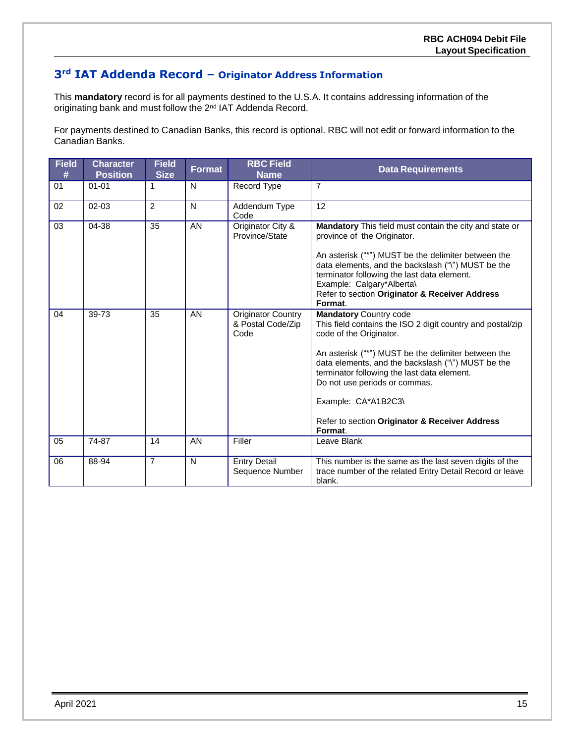## **3rd IAT Addenda Record – Originator Address Information**

This **mandatory** record is for all payments destined to the U.S.A. It contains addressing information of the originating bank and must follow the 2<sup>nd</sup> IAT Addenda Record.

For payments destined to Canadian Banks, this record is optional. RBC will not edit or forward information to the Canadian Banks.

| <b>Field</b><br># | <b>Character</b><br><b>Position</b> | <b>Field</b><br><b>Size</b> | <b>Format</b> | <b>RBC Field</b><br><b>Name</b>                        | <b>Data Requirements</b>                                                                                                                                                                                                                                                                                                                                                                                |
|-------------------|-------------------------------------|-----------------------------|---------------|--------------------------------------------------------|---------------------------------------------------------------------------------------------------------------------------------------------------------------------------------------------------------------------------------------------------------------------------------------------------------------------------------------------------------------------------------------------------------|
| 01                | $01 - 01$                           | 1                           | N             | Record Type                                            | $\overline{7}$                                                                                                                                                                                                                                                                                                                                                                                          |
| 02                | $02 - 03$                           | $\overline{2}$              | N             | Addendum Type<br>Code                                  | 12                                                                                                                                                                                                                                                                                                                                                                                                      |
| 03                | 04-38                               | 35                          | AN            | Originator City &<br>Province/State                    | <b>Mandatory</b> This field must contain the city and state or<br>province of the Originator.<br>An asterisk ("*") MUST be the delimiter between the<br>data elements, and the backslash ("\") MUST be the<br>terminator following the last data element.<br>Example: Calgary*Alberta\<br>Refer to section Originator & Receiver Address<br>Format.                                                     |
| 04                | 39-73                               | 35                          | AN            | <b>Originator Country</b><br>& Postal Code/Zip<br>Code | <b>Mandatory Country code</b><br>This field contains the ISO 2 digit country and postal/zip<br>code of the Originator.<br>An asterisk ("*") MUST be the delimiter between the<br>data elements, and the backslash ("\") MUST be the<br>terminator following the last data element.<br>Do not use periods or commas.<br>Example: CA*A1B2C3\<br>Refer to section Originator & Receiver Address<br>Format. |
| 05                | 74-87                               | 14                          | AN            | Filler                                                 | Leave Blank                                                                                                                                                                                                                                                                                                                                                                                             |
| 06                | 88-94                               | $\overline{7}$              | N             | <b>Entry Detail</b><br>Sequence Number                 | This number is the same as the last seven digits of the<br>trace number of the related Entry Detail Record or leave<br>blank.                                                                                                                                                                                                                                                                           |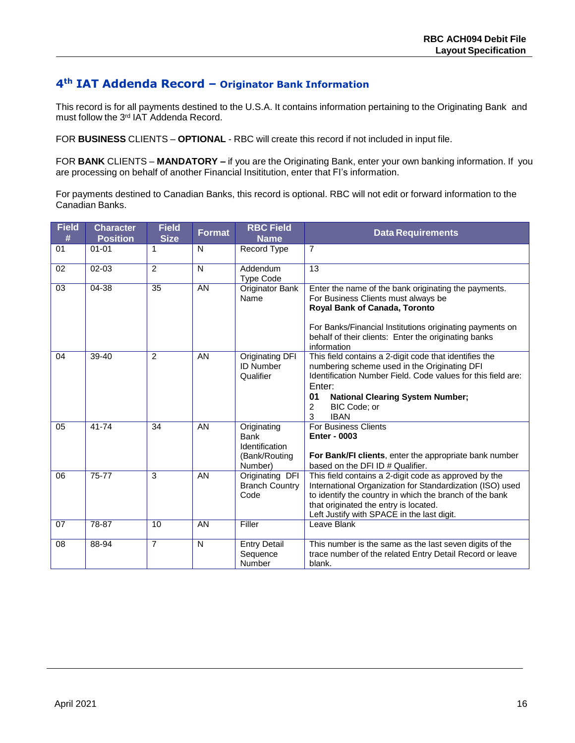### **4th IAT Addenda Record – Originator Bank Information**

This record is for all payments destined to the U.S.A. It contains information pertaining to the Originating Bank and must follow the 3<sup>rd</sup> IAT Addenda Record.

FOR **BUSINESS** CLIENTS – **OPTIONAL** - RBC will create this record if not included in input file.

FOR **BANK** CLIENTS – **MANDATORY –** if you are the Originating Bank, enter your own banking information. If you are processing on behalf of another Financial Insititution, enter that FI's information.

For payments destined to Canadian Banks, this record is optional. RBC will not edit or forward information to the Canadian Banks.

| <b>Field</b><br># | <b>Character</b><br><b>Position</b> | <b>Field</b><br><b>Size</b> | <b>Format</b> | <b>RBC Field</b><br><b>Name</b>                                          | <b>Data Requirements</b>                                                                                                                                                                                                                                                   |
|-------------------|-------------------------------------|-----------------------------|---------------|--------------------------------------------------------------------------|----------------------------------------------------------------------------------------------------------------------------------------------------------------------------------------------------------------------------------------------------------------------------|
| 01                | $01 - 01$                           | 1                           | N             | Record Type                                                              | $\overline{7}$                                                                                                                                                                                                                                                             |
| 02                | $02 - 03$                           | 2                           | N             | Addendum<br><b>Type Code</b>                                             | 13                                                                                                                                                                                                                                                                         |
| 03                | 04-38                               | 35                          | AN            | Originator Bank<br>Name                                                  | Enter the name of the bank originating the payments.<br>For Business Clients must always be<br>Royal Bank of Canada, Toronto<br>For Banks/Financial Institutions originating payments on<br>behalf of their clients: Enter the originating banks<br>information            |
| 04                | $39-40$                             | $\overline{2}$              | AN            | Originating DFI<br><b>ID Number</b><br>Qualifier                         | This field contains a 2-digit code that identifies the<br>numbering scheme used in the Originating DFI<br>Identification Number Field. Code values for this field are:<br>Enter:<br>01<br><b>National Clearing System Number;</b><br>BIC Code; or<br>2<br>3<br><b>IBAN</b> |
| 05                | 41-74                               | 34                          | AN            | Originating<br><b>Bank</b><br>Identification<br>(Bank/Routing<br>Number) | <b>For Business Clients</b><br><b>Enter - 0003</b><br>For Bank/FI clients, enter the appropriate bank number<br>based on the DFI ID # Qualifier.                                                                                                                           |
| 06                | 75-77                               | 3                           | AN            | Originating DFI<br><b>Branch Country</b><br>Code                         | This field contains a 2-digit code as approved by the<br>International Organization for Standardization (ISO) used<br>to identify the country in which the branch of the bank<br>that originated the entry is located.<br>Left Justify with SPACE in the last digit.       |
| 07                | 78-87                               | 10                          | AN            | Filler                                                                   | Leave Blank                                                                                                                                                                                                                                                                |
| 08                | 88-94                               | $\overline{7}$              | N             | <b>Entry Detail</b><br>Sequence<br>Number                                | This number is the same as the last seven digits of the<br>trace number of the related Entry Detail Record or leave<br>blank.                                                                                                                                              |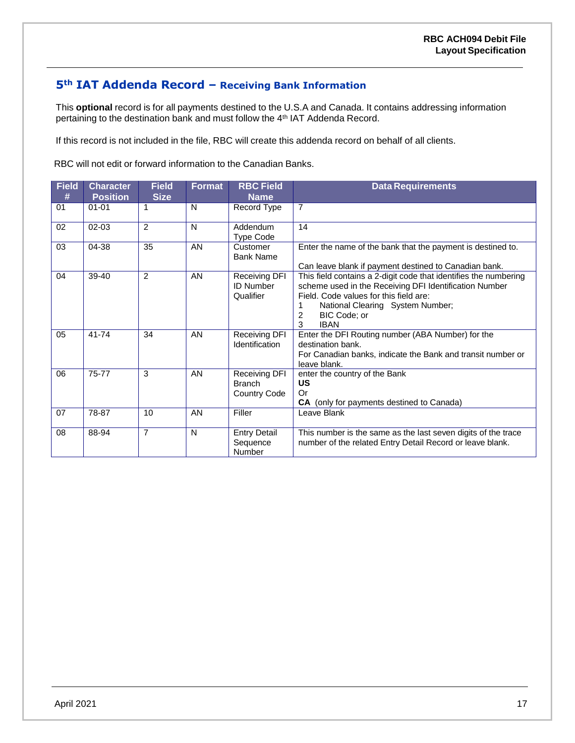## **5th IAT Addenda Record – Receiving Bank Information**

This **optional** record is for all payments destined to the U.S.A and Canada. It contains addressing information pertaining to the destination bank and must follow the 4<sup>th</sup> IAT Addenda Record.

If this record is not included in the file, RBC will create this addenda record on behalf of all clients.

RBC will not edit or forward information to the Canadian Banks.

| <b>Field</b><br># | <b>Character</b><br><b>Position</b> | <b>Field</b><br><b>Size</b> | <b>Format</b> | <b>RBC Field</b><br><b>Name</b>                       | <b>Data Requirements</b>                                                                                                                                                                                                                                 |
|-------------------|-------------------------------------|-----------------------------|---------------|-------------------------------------------------------|----------------------------------------------------------------------------------------------------------------------------------------------------------------------------------------------------------------------------------------------------------|
| 01                | $01 - 01$                           | 1                           | N             | Record Type                                           | $\overline{7}$                                                                                                                                                                                                                                           |
| 02                | $02 - 03$                           | 2                           | N             | Addendum<br><b>Type Code</b>                          | 14                                                                                                                                                                                                                                                       |
| 03                | 04-38                               | 35                          | AN            | Customer<br><b>Bank Name</b>                          | Enter the name of the bank that the payment is destined to.<br>Can leave blank if payment destined to Canadian bank.                                                                                                                                     |
| 04                | 39-40                               | $\mathcal{P}$               | AN            | <b>Receiving DFI</b><br><b>ID Number</b><br>Qualifier | This field contains a 2-digit code that identifies the numbering<br>scheme used in the Receiving DFI Identification Number<br>Field. Code values for this field are:<br>National Clearing System Number;<br><b>BIC Code: or</b><br>2<br>3<br><b>IBAN</b> |
| 05                | 41-74                               | 34                          | AN            | Receiving DFI<br>Identification                       | Enter the DFI Routing number (ABA Number) for the<br>destination bank.<br>For Canadian banks, indicate the Bank and transit number or<br>leave blank.                                                                                                    |
| 06                | 75-77                               | 3                           | AN            | Receiving DFI<br><b>Branch</b><br><b>Country Code</b> | enter the country of the Bank<br>US<br>Or<br><b>CA</b> (only for payments destined to Canada)                                                                                                                                                            |
| 07                | 78-87                               | 10                          | AN            | Filler                                                | Leave Blank                                                                                                                                                                                                                                              |
| 08                | 88-94                               | $\overline{7}$              | N             | <b>Entry Detail</b><br>Sequence<br><b>Number</b>      | This number is the same as the last seven digits of the trace<br>number of the related Entry Detail Record or leave blank.                                                                                                                               |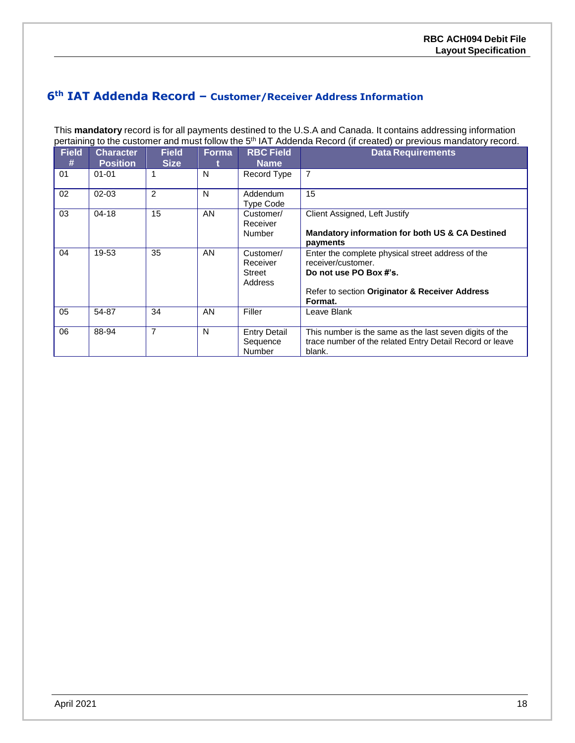### **6th IAT Addenda Record – Customer/Receiver Address Information**

This **mandatory** record is for all payments destined to the U.S.A and Canada. It contains addressing information pertaining to the customer and must follow the 5<sup>th</sup> IAT Addenda Record (if created) or previous mandatory record.

| <b>Field</b><br># | <b>Character</b><br><b>Position</b> | <b>Field</b><br><b>Size</b> | <b>Forma</b> | <b>RBC Field</b><br><b>Name</b>            | <b>Data Requirements</b>                                                                                                                                       |
|-------------------|-------------------------------------|-----------------------------|--------------|--------------------------------------------|----------------------------------------------------------------------------------------------------------------------------------------------------------------|
| 01                | $01 - 01$                           |                             | N            | Record Type                                | 7                                                                                                                                                              |
| 02                | $02 - 03$                           | 2                           | N            | Addendum<br>Type Code                      | 15                                                                                                                                                             |
| 03                | $04 - 18$                           | 15                          | AN           | Customer/<br>Receiver<br>Number            | Client Assigned, Left Justify<br>Mandatory information for both US & CA Destined<br>payments                                                                   |
| 04                | 19-53                               | 35                          | AN           | Customer/<br>Receiver<br>Street<br>Address | Enter the complete physical street address of the<br>receiver/customer.<br>Do not use PO Box #'s.<br>Refer to section Originator & Receiver Address<br>Format. |
| 05                | 54-87                               | 34                          | AN           | Filler                                     | Leave Blank                                                                                                                                                    |
| 06                | 88-94                               | $\overline{7}$              | N            | <b>Entry Detail</b><br>Sequence<br>Number  | This number is the same as the last seven digits of the<br>trace number of the related Entry Detail Record or leave<br>blank.                                  |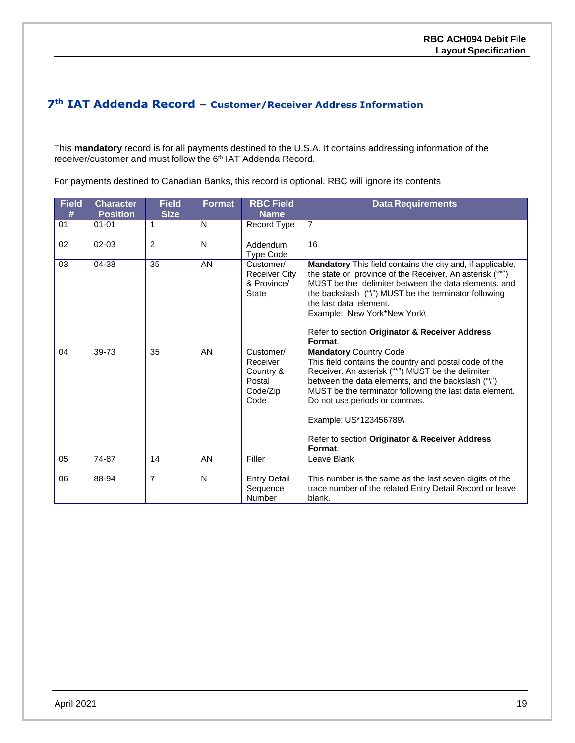### **7th IAT Addenda Record – Customer/Receiver Address Information**

This **mandatory** record is for all payments destined to the U.S.A. It contains addressing information of the receiver/customer and must follow the 6<sup>th</sup> IAT Addenda Record.

For payments destined to Canadian Banks, this record is optional. RBC will ignore its contents

| <b>Field</b><br># | <b>Character</b><br><b>Position</b> | <b>Field</b><br><b>Size</b> | <b>Format</b> | <b>RBC Field</b><br><b>Name</b>                                  | <b>Data Requirements</b>                                                                                                                                                                                                                                                                                                                                                              |
|-------------------|-------------------------------------|-----------------------------|---------------|------------------------------------------------------------------|---------------------------------------------------------------------------------------------------------------------------------------------------------------------------------------------------------------------------------------------------------------------------------------------------------------------------------------------------------------------------------------|
| 01                | $01 - 01$                           | 1                           | N             | Record Type                                                      | $\overline{7}$                                                                                                                                                                                                                                                                                                                                                                        |
| 02                | $02 - 03$                           | $\mathfrak{p}$              | N             | Addendum<br><b>Type Code</b>                                     | 16                                                                                                                                                                                                                                                                                                                                                                                    |
| 03                | 04-38                               | 35                          | AN            | Customer/<br><b>Receiver City</b><br>& Province/<br><b>State</b> | Mandatory This field contains the city and, if applicable,<br>the state or province of the Receiver. An asterisk ("*")<br>MUST be the delimiter between the data elements, and<br>the backslash ("\") MUST be the terminator following<br>the last data element.<br>Example: New York*New York\<br>Refer to section Originator & Receiver Address<br>Format.                          |
| 04                | 39-73                               | 35                          | AN            | Customer/<br>Receiver<br>Country &<br>Postal<br>Code/Zip<br>Code | <b>Mandatory Country Code</b><br>This field contains the country and postal code of the<br>Receiver. An asterisk ("*") MUST be the delimiter<br>between the data elements, and the backslash ("\")<br>MUST be the terminator following the last data element.<br>Do not use periods or commas.<br>Example: US*123456789\<br>Refer to section Originator & Receiver Address<br>Format. |
| 05                | 74-87                               | 14                          | AN            | Filler                                                           | Leave Blank                                                                                                                                                                                                                                                                                                                                                                           |
| 06                | 88-94                               | $\overline{7}$              | N             | <b>Entry Detail</b><br>Sequence<br>Number                        | This number is the same as the last seven digits of the<br>trace number of the related Entry Detail Record or leave<br>blank.                                                                                                                                                                                                                                                         |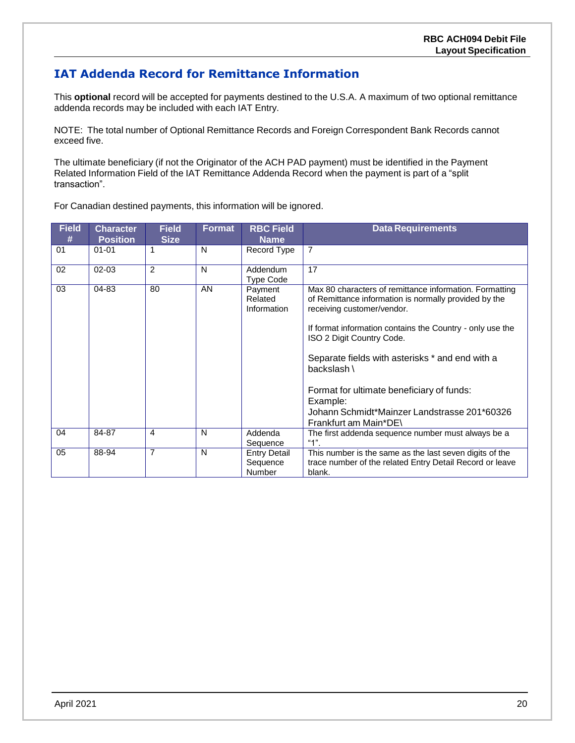### <span id="page-19-0"></span>**IAT Addenda Record for Remittance Information**

This **optional** record will be accepted for payments destined to the U.S.A. A maximum of two optional remittance addenda records may be included with each IAT Entry.

NOTE: The total number of Optional Remittance Records and Foreign Correspondent Bank Records cannot exceed five.

The ultimate beneficiary (if not the Originator of the ACH PAD payment) must be identified in the Payment Related Information Field of the IAT Remittance Addenda Record when the payment is part of a "split transaction".

For Canadian destined payments, this information will be ignored.

| <b>Field</b><br># | <b>Character</b><br><b>Position</b> | <b>Field</b><br><b>Size</b> | <b>Format</b> | <b>RBC Field</b><br>Name                         | <b>Data Requirements</b>                                                                                                                                                                                                                                                                                                                                                                                                                     |
|-------------------|-------------------------------------|-----------------------------|---------------|--------------------------------------------------|----------------------------------------------------------------------------------------------------------------------------------------------------------------------------------------------------------------------------------------------------------------------------------------------------------------------------------------------------------------------------------------------------------------------------------------------|
| 01                | $01 - 01$                           | 1                           | N             | Record Type                                      | $\overline{7}$                                                                                                                                                                                                                                                                                                                                                                                                                               |
| 02                | $02 - 03$                           | $\mathfrak{p}$              | N             | Addendum<br><b>Type Code</b>                     | 17                                                                                                                                                                                                                                                                                                                                                                                                                                           |
| 03                | 04-83                               | 80                          | AN            | Payment<br>Related<br>Information                | Max 80 characters of remittance information. Formatting<br>of Remittance information is normally provided by the<br>receiving customer/vendor.<br>If format information contains the Country - only use the<br>ISO 2 Digit Country Code.<br>Separate fields with asterisks * and end with a<br>backslash \<br>Format for ultimate beneficiary of funds:<br>Example:<br>Johann Schmidt*Mainzer Landstrasse 201*60326<br>Frankfurt am Main*DE\ |
| 04                | 84-87                               | 4                           | N             | Addenda<br>Sequence                              | The first addenda sequence number must always be a<br>" $1$ ".                                                                                                                                                                                                                                                                                                                                                                               |
| 05                | 88-94                               | $\overline{7}$              | N             | <b>Entry Detail</b><br>Sequence<br><b>Number</b> | This number is the same as the last seven digits of the<br>trace number of the related Entry Detail Record or leave<br>blank.                                                                                                                                                                                                                                                                                                                |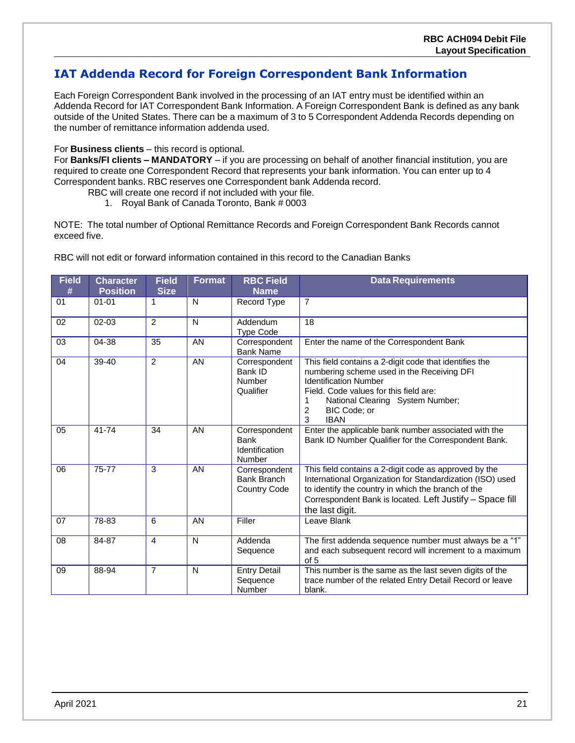### <span id="page-20-0"></span>**IAT Addenda Record for Foreign Correspondent Bank Information**

Each Foreign Correspondent Bank involved in the processing of an IAT entry must be identified within an Addenda Record for IAT Correspondent Bank Information. A Foreign Correspondent Bank is defined as any bank outside of the United States. There can be a maximum of 3 to 5 Correspondent Addenda Records depending on the number of remittance information addenda used.

#### For **Business clients** – this record is optional.

For **Banks/FI clients – MANDATORY** – if you are processing on behalf of another financial institution, you are required to create one Correspondent Record that represents your bank information. You can enter up to 4 Correspondent banks. RBC reserves one Correspondent bank Addenda record.

- RBC will create one record if not included with your file.
	- 1. Royal Bank of Canada Toronto, Bank # 0003

NOTE: The total number of Optional Remittance Records and Foreign Correspondent Bank Records cannot exceed five.

| <b>Field</b><br># | <b>Character</b><br><b>Position</b> | <b>Field</b><br><b>Size</b> | <b>Format</b> | <b>RBC Field</b><br><b>Name</b>                        | <b>Data Requirements</b>                                                                                                                                                                                                                                    |
|-------------------|-------------------------------------|-----------------------------|---------------|--------------------------------------------------------|-------------------------------------------------------------------------------------------------------------------------------------------------------------------------------------------------------------------------------------------------------------|
| 01                | $01 - 01$                           |                             | N             | <b>Record Type</b>                                     | $\overline{7}$                                                                                                                                                                                                                                              |
| 02                | $02 - 03$                           | $\overline{2}$              | $\mathsf{N}$  | Addendum<br><b>Type Code</b>                           | 18                                                                                                                                                                                                                                                          |
| 03                | 04-38                               | 35                          | AN            | Correspondent<br><b>Bank Name</b>                      | Enter the name of the Correspondent Bank                                                                                                                                                                                                                    |
| 04                | 39-40                               | $\overline{2}$              | AN            | Correspondent<br>Bank ID<br><b>Number</b><br>Qualifier | This field contains a 2-digit code that identifies the<br>numbering scheme used in the Receiving DFI<br><b>Identification Number</b><br>Field. Code values for this field are:<br>National Clearing System Number;<br>2<br>BIC Code; or<br>3<br><b>IBAN</b> |
| 05                | 41-74                               | 34                          | AN            | Correspondent<br>Bank<br>Identification<br>Number      | Enter the applicable bank number associated with the<br>Bank ID Number Qualifier for the Correspondent Bank.                                                                                                                                                |
| 06                | 75-77                               | 3                           | AN            | Correspondent<br>Bank Branch<br><b>Country Code</b>    | This field contains a 2-digit code as approved by the<br>International Organization for Standardization (ISO) used<br>to identify the country in which the branch of the<br>Correspondent Bank is located. Left Justify - Space fill<br>the last digit.     |
| 07                | 78-83                               | 6                           | AN            | Filler                                                 | Leave Blank                                                                                                                                                                                                                                                 |
| 08                | 84-87                               | 4                           | $\mathsf{N}$  | Addenda<br>Sequence                                    | The first addenda sequence number must always be a "1"<br>and each subsequent record will increment to a maximum<br>of 5                                                                                                                                    |
| 09                | 88-94                               | $\overline{7}$              | N             | <b>Entry Detail</b><br>Sequence<br>Number              | This number is the same as the last seven digits of the<br>trace number of the related Entry Detail Record or leave<br>blank.                                                                                                                               |

RBC will not edit or forward information contained in this record to the Canadian Banks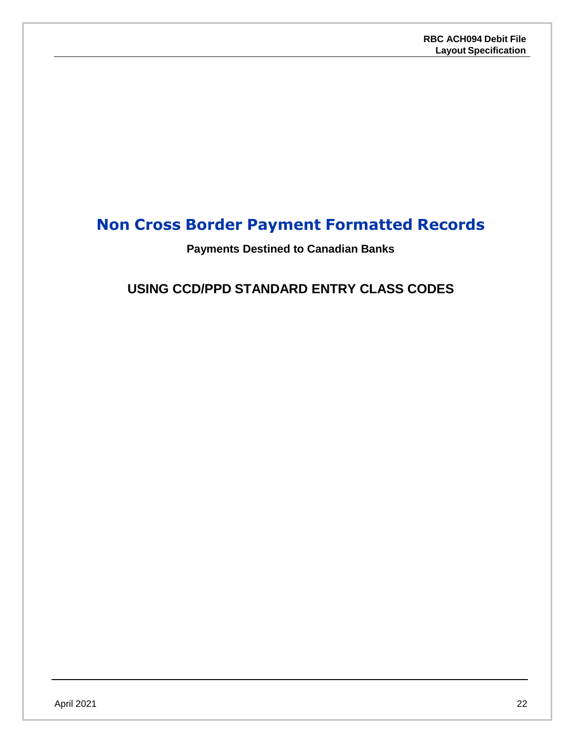## <span id="page-21-1"></span><span id="page-21-0"></span>**Non Cross Border Payment Formatted Records**

### **Payments Destined to Canadian Banks**

## **USING CCD/PPD STANDARD ENTRY CLASS CODES**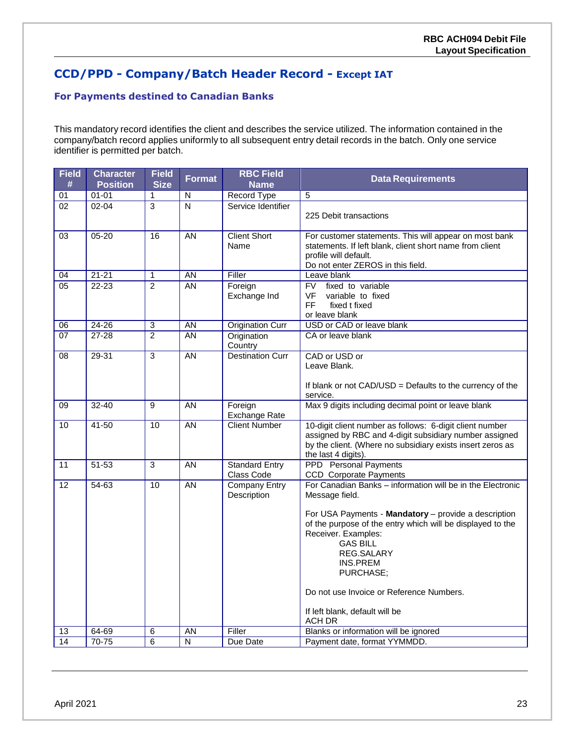## <span id="page-22-0"></span>**CCD/PPD - Company/Batch Header Record - Except IAT**

#### **For Payments destined to Canadian Banks**

This mandatory record identifies the client and describes the service utilized. The information contained in the company/batch record applies uniformly to all subsequent entry detail records in the batch. Only one service identifier is permitted per batch.

| <b>Field</b><br># | <b>Character</b><br><b>Position</b> | <b>Field</b><br><b>Size</b> | Format                    | <b>RBC Field</b><br><b>Name</b>     | <b>Data Requirements</b>                                                                                                                                                                                                                                                                    |
|-------------------|-------------------------------------|-----------------------------|---------------------------|-------------------------------------|---------------------------------------------------------------------------------------------------------------------------------------------------------------------------------------------------------------------------------------------------------------------------------------------|
| 01                | $01 - 01$                           | 1                           | ${\sf N}$                 | Record Type                         | 5                                                                                                                                                                                                                                                                                           |
| 02                | $02 - 04$                           | $\overline{3}$              | $\overline{\overline{N}}$ | Service Identifier                  | 225 Debit transactions                                                                                                                                                                                                                                                                      |
| 03                | $05 - 20$                           | $\overline{16}$             | AN                        | <b>Client Short</b><br>Name         | For customer statements. This will appear on most bank<br>statements. If left blank, client short name from client<br>profile will default.<br>Do not enter ZEROS in this field.                                                                                                            |
| 04                | $21 - 21$                           | $\mathbf{1}$                | <b>AN</b>                 | Filler                              | Leave blank                                                                                                                                                                                                                                                                                 |
| 05                | $22 - 23$                           | $\overline{2}$              | <b>AN</b>                 | Foreign<br>Exchange Ind             | <b>FV</b><br>fixed to variable<br><b>VF</b><br>variable to fixed<br><b>FF</b><br>fixed t fixed<br>or leave blank                                                                                                                                                                            |
| 06                | $24 - 26$                           | $\overline{3}$              | <b>AN</b>                 | <b>Origination Curr</b>             | USD or CAD or leave blank                                                                                                                                                                                                                                                                   |
| 07                | 27-28                               | $\overline{2}$              | AN                        | Origination<br>Country              | CA or leave blank                                                                                                                                                                                                                                                                           |
| $\overline{08}$   | 29-31                               | $\overline{3}$              | $\overline{AN}$           | <b>Destination Curr</b>             | CAD or USD or<br>Leave Blank.<br>If blank or not CAD/USD = Defaults to the currency of the                                                                                                                                                                                                  |
|                   |                                     |                             |                           |                                     | service.                                                                                                                                                                                                                                                                                    |
| 09                | $32 - 40$                           | $\overline{9}$              | AN                        | Foreign<br><b>Exchange Rate</b>     | Max 9 digits including decimal point or leave blank                                                                                                                                                                                                                                         |
| 10                | 41-50                               | 10                          | AN                        | <b>Client Number</b>                | 10-digit client number as follows: 6-digit client number<br>assigned by RBC and 4-digit subsidiary number assigned<br>by the client. (Where no subsidiary exists insert zeros as<br>the last 4 digits).                                                                                     |
| 11                | $51 - 53$                           | 3                           | <b>AN</b>                 | <b>Standard Entry</b><br>Class Code | <b>PPD</b> Personal Payments<br><b>CCD</b> Corporate Payments                                                                                                                                                                                                                               |
| 12                | 54-63                               | $\overline{10}$             | AN                        | <b>Company Entry</b><br>Description | For Canadian Banks - information will be in the Electronic<br>Message field.                                                                                                                                                                                                                |
|                   |                                     |                             |                           |                                     | For USA Payments - Mandatory - provide a description<br>of the purpose of the entry which will be displayed to the<br>Receiver. Examples:<br><b>GAS BILL</b><br>REG.SALARY<br>INS.PREM<br>PURCHASE;<br>Do not use Invoice or Reference Numbers.<br>If left blank, default will be<br>ACH DR |
| 13                | 64-69                               | 6                           | AN                        | Filler                              | Blanks or information will be ignored                                                                                                                                                                                                                                                       |
| 14                | $70 - 75$                           | $\overline{6}$              | ${\sf N}$                 | Due Date                            | Payment date, format YYMMDD.                                                                                                                                                                                                                                                                |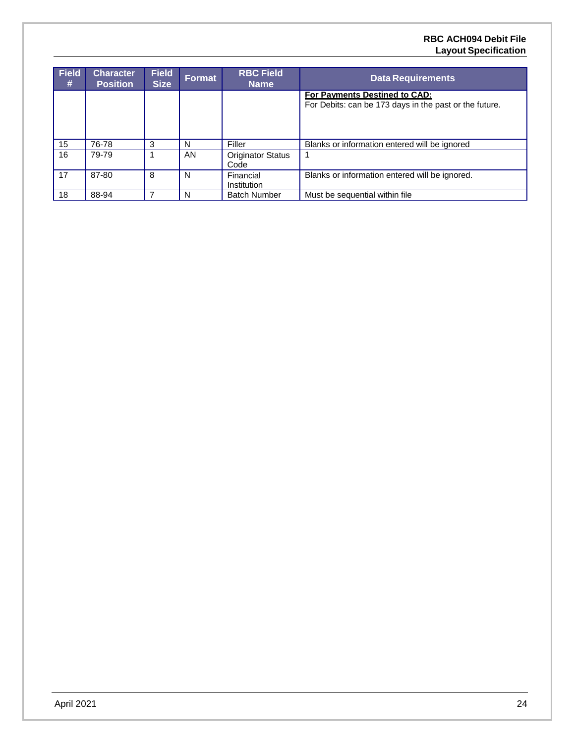#### **RBC ACH094 Debit File Layout Specification**

| <b>Field</b><br># | <b>Character</b><br><b>Position</b> | <b>Field</b><br><b>Size</b> | Format | <b>RBC Field</b><br><b>Name</b>  | <b>Data Requirements</b>                                                                |
|-------------------|-------------------------------------|-----------------------------|--------|----------------------------------|-----------------------------------------------------------------------------------------|
|                   |                                     |                             |        |                                  | For Payments Destined to CAD:<br>For Debits: can be 173 days in the past or the future. |
| 15                | 76-78                               | 3                           | N      | Filler                           | Blanks or information entered will be ignored                                           |
| 16                | 79-79                               |                             | AN.    | <b>Originator Status</b><br>Code |                                                                                         |
| 17                | 87-80                               | 8                           | N      | Financial<br>Institution         | Blanks or information entered will be ignored.                                          |
| 18                | 88-94                               |                             | N      | <b>Batch Number</b>              | Must be sequential within file                                                          |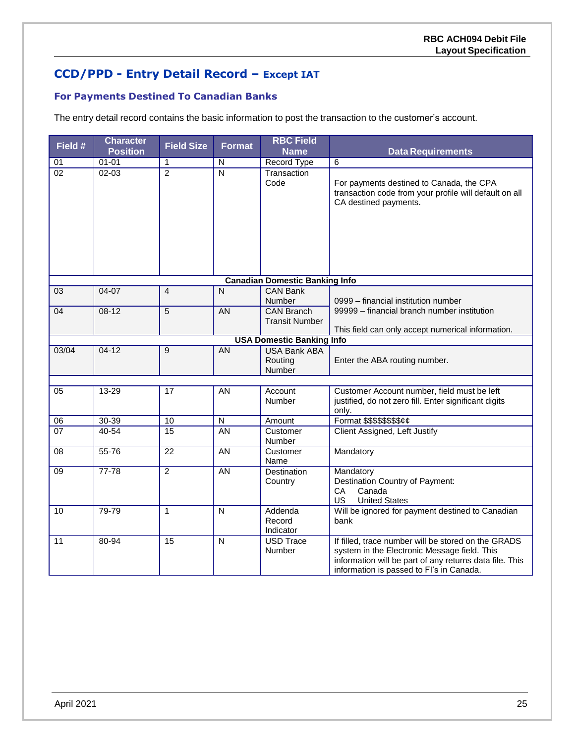## **CCD/PPD - Entry Detail Record – Except IAT**

### **For Payments Destined To Canadian Banks**

The entry detail record contains the basic information to post the transaction to the customer's account.

| Field #         | <b>Character</b><br><b>Position</b> | <b>Field Size</b> | <b>Format</b>           | <b>RBC Field</b><br><b>Name</b>            | <b>Data Requirements</b>                                                                                                                                                                                   |
|-----------------|-------------------------------------|-------------------|-------------------------|--------------------------------------------|------------------------------------------------------------------------------------------------------------------------------------------------------------------------------------------------------------|
| $\overline{01}$ | $01 - 01$                           | 1                 | $\overline{N}$          | <b>Record Type</b>                         | $6\phantom{1}6$                                                                                                                                                                                            |
| $\overline{02}$ | $02 - 03$                           | $\overline{2}$    | $\overline{\mathsf{N}}$ | Transaction<br>Code                        | For payments destined to Canada, the CPA<br>transaction code from your profile will default on all<br>CA destined payments.                                                                                |
|                 |                                     |                   |                         | <b>Canadian Domestic Banking Info</b>      |                                                                                                                                                                                                            |
| 03              | 04-07                               | $\overline{4}$    | $\mathsf{N}$            | <b>CAN Bank</b><br>Number                  | 0999 - financial institution number                                                                                                                                                                        |
| 04              | $08-12$                             | 5                 | <b>AN</b>               | <b>CAN Branch</b><br><b>Transit Number</b> | 99999 – financial branch number institution                                                                                                                                                                |
|                 |                                     |                   |                         | <b>USA Domestic Banking Info</b>           | This field can only accept numerical information.                                                                                                                                                          |
| 03/04           | $04 - 12$                           | 9                 | AN                      | <b>USA Bank ABA</b>                        |                                                                                                                                                                                                            |
|                 |                                     |                   |                         | Routing<br>Number                          | Enter the ABA routing number.                                                                                                                                                                              |
|                 |                                     |                   |                         |                                            |                                                                                                                                                                                                            |
| 05              | 13-29                               | 17                | AN                      | Account<br>Number                          | Customer Account number, field must be left<br>justified, do not zero fill. Enter significant digits<br>only.                                                                                              |
| 06              | 30-39                               | 10                | N                       | Amount                                     | Format \$\$\$\$\$\$\$\$¢¢                                                                                                                                                                                  |
| 07              | 40-54                               | $\overline{15}$   | AN                      | Customer<br>Number                         | Client Assigned, Left Justify                                                                                                                                                                              |
| 08              | 55-76                               | $\overline{22}$   | $\overline{AN}$         | Customer<br>Name                           | Mandatory                                                                                                                                                                                                  |
| 09              | $77 - 78$                           | $\overline{2}$    | AN                      | <b>Destination</b><br>Country              | Mandatory<br>Destination Country of Payment:<br>CA<br>Canada<br><b>United States</b><br>US                                                                                                                 |
| 10              | 79-79                               | 1                 | $\overline{\mathsf{N}}$ | Addenda<br>Record<br>Indicator             | Will be ignored for payment destined to Canadian<br>bank                                                                                                                                                   |
| 11              | 80-94                               | $\overline{15}$   | $\overline{\mathsf{N}}$ | <b>USD Trace</b><br>Number                 | If filled, trace number will be stored on the GRADS<br>system in the Electronic Message field. This<br>information will be part of any returns data file. This<br>information is passed to FI's in Canada. |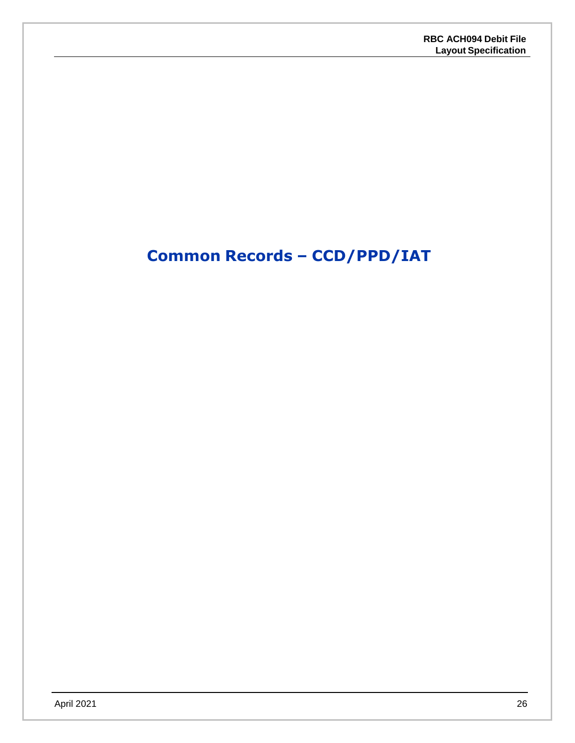# <span id="page-25-0"></span>**Common Records – CCD/PPD/IAT**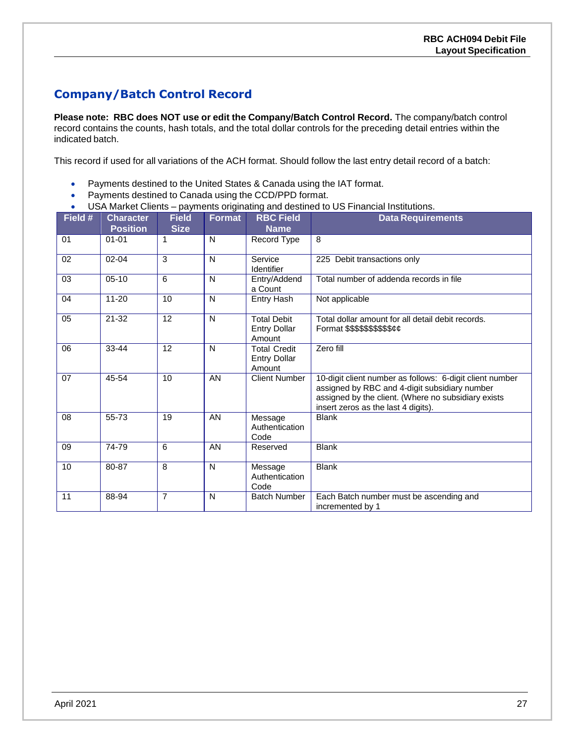## <span id="page-26-0"></span>**Company/Batch Control Record**

**Please note: RBC does NOT use or edit the Company/Batch Control Record.** The company/batch control record contains the counts, hash totals, and the total dollar controls for the preceding detail entries within the indicated batch.

This record if used for all variations of the ACH format. Should follow the last entry detail record of a batch:

- Payments destined to the United States & Canada using the IAT format.
- Payments destined to Canada using the CCD/PPD format.
- USA Market Clients payments originating and destined to US Financial Institutions.

| Field # | <b>Character</b><br><b>Position</b> | <b>Field</b><br><b>Size</b> | Format       | <b>RBC Field</b><br><b>Name</b>                      | <b>Data Requirements</b>                                                                                                                                                                                |
|---------|-------------------------------------|-----------------------------|--------------|------------------------------------------------------|---------------------------------------------------------------------------------------------------------------------------------------------------------------------------------------------------------|
| 01      | $01 - 01$                           | 1                           | N            | Record Type                                          | 8                                                                                                                                                                                                       |
| 02      | $02 - 04$                           | 3                           | N            | Service<br>Identifier                                | 225 Debit transactions only                                                                                                                                                                             |
| 03      | $05-10$                             | 6                           | $\mathsf{N}$ | Entry/Addend<br>a Count                              | Total number of addenda records in file                                                                                                                                                                 |
| 04      | $11 - 20$                           | 10                          | N            | <b>Entry Hash</b>                                    | Not applicable                                                                                                                                                                                          |
| 05      | $21 - 32$                           | 12                          | $\mathsf{N}$ | <b>Total Debit</b><br><b>Entry Dollar</b><br>Amount  | Total dollar amount for all detail debit records.<br>Format \$\$\$\$\$\$\$\$\$\$¢¢                                                                                                                      |
| 06      | 33-44                               | 12                          | $\mathsf{N}$ | <b>Total Credit</b><br><b>Entry Dollar</b><br>Amount | Zero fill                                                                                                                                                                                               |
| 07      | 45-54                               | 10                          | AN           | <b>Client Number</b>                                 | 10-digit client number as follows: 6-digit client number<br>assigned by RBC and 4-digit subsidiary number<br>assigned by the client. (Where no subsidiary exists<br>insert zeros as the last 4 digits). |
| 08      | 55-73                               | 19                          | AN           | Message<br>Authentication<br>Code                    | <b>Blank</b>                                                                                                                                                                                            |
| 09      | 74-79                               | 6                           | AN           | Reserved                                             | <b>Blank</b>                                                                                                                                                                                            |
| 10      | 80-87                               | 8                           | N            | Message<br>Authentication<br>Code                    | <b>Blank</b>                                                                                                                                                                                            |
| 11      | 88-94                               | $\overline{7}$              | N            | <b>Batch Number</b>                                  | Each Batch number must be ascending and<br>incremented by 1                                                                                                                                             |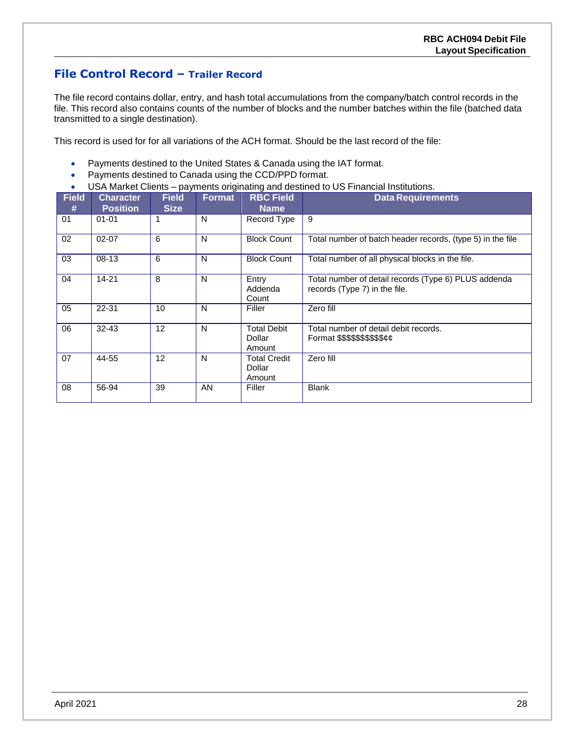### **File Control Record – Trailer Record**

The file record contains dollar, entry, and hash total accumulations from the company/batch control records in the file. This record also contains counts of the number of blocks and the number batches within the file (batched data transmitted to a single destination).

This record is used for for all variations of the ACH format. Should be the last record of the file:

- Payments destined to the United States & Canada using the IAT format.
- Payments destined to Canada using the CCD/PPD format.
- USA Market Clients payments originating and destined to US Financial Institutions.

| <b>Field</b><br># | <b>Character</b><br><b>Position</b> | <b>Field</b><br><b>Size</b> | <b>Format</b> | <b>RBC Field</b><br><b>Name</b>         | <b>Data Requirements</b>                                                              |
|-------------------|-------------------------------------|-----------------------------|---------------|-----------------------------------------|---------------------------------------------------------------------------------------|
| 01                | $01 - 01$                           |                             | N             | Record Type                             | 9                                                                                     |
| 02                | $02 - 07$                           | 6                           | N             | <b>Block Count</b>                      | Total number of batch header records, (type 5) in the file                            |
| 03                | $08-13$                             | 6                           | N             | <b>Block Count</b>                      | Total number of all physical blocks in the file.                                      |
| 04                | $14 - 21$                           | 8                           | N             | Entry<br>Addenda<br>Count               | Total number of detail records (Type 6) PLUS addenda<br>records (Type 7) in the file. |
| 05                | 22-31                               | 10                          | N             | Filler                                  | Zero fill                                                                             |
| 06                | $32 - 43$                           | $12 \overline{ }$           | N             | <b>Total Debit</b><br>Dollar<br>Amount  | Total number of detail debit records.<br>Format \$\$\$\$\$\$\$\$\$\$cc                |
| 07                | 44-55                               | $12 \overline{ }$           | N             | <b>Total Credit</b><br>Dollar<br>Amount | Zero fill                                                                             |
| 08                | 56-94                               | 39                          | AN            | Filler                                  | <b>Blank</b>                                                                          |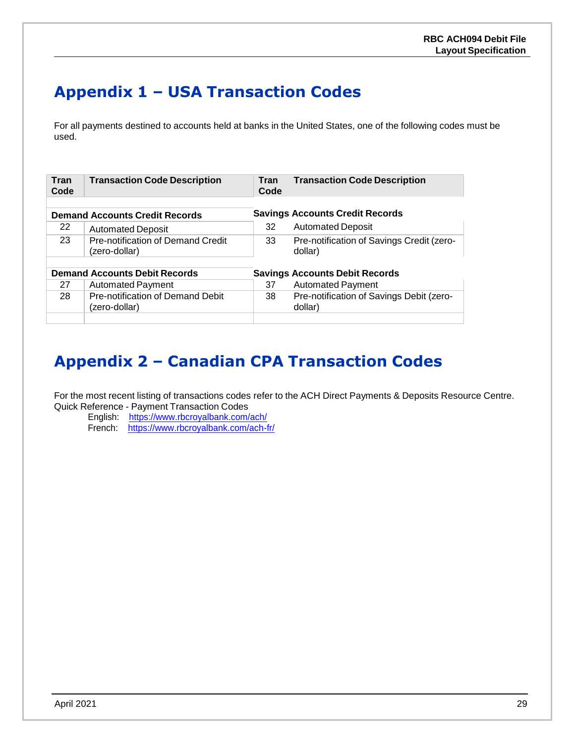# <span id="page-28-0"></span>**Appendix 1 – USA Transaction Codes**

For all payments destined to accounts held at banks in the United States, one of the following codes must be used.

| <b>Tran</b><br>Code | <b>Transaction Code Description</b>                       | Tran<br>Code | <b>Transaction Code Description</b>                  |
|---------------------|-----------------------------------------------------------|--------------|------------------------------------------------------|
|                     | <b>Demand Accounts Credit Records</b>                     |              | <b>Savings Accounts Credit Records</b>               |
|                     |                                                           |              |                                                      |
| 22                  | <b>Automated Deposit</b>                                  | 32           | <b>Automated Deposit</b>                             |
| 23                  | <b>Pre-notification of Demand Credit</b><br>(zero-dollar) | 33           | Pre-notification of Savings Credit (zero-<br>dollar) |
|                     |                                                           |              |                                                      |
|                     | <b>Demand Accounts Debit Records</b>                      |              | <b>Savings Accounts Debit Records</b>                |
| 27                  | <b>Automated Payment</b>                                  | 37           | <b>Automated Payment</b>                             |
| 28                  | Pre-notification of Demand Debit<br>(zero-dollar)         | 38           | Pre-notification of Savings Debit (zero-<br>dollar)  |
|                     |                                                           |              |                                                      |

# <span id="page-28-1"></span>**Appendix 2 – Canadian CPA Transaction Codes**

For the most recent listing of transactions codes refer to the ACH Direct Payments & Deposits Resource Centre. Quick Reference - Payment Transaction Codes

- English: <https://www.rbcroyalbank.com/ach/>
- French: https:/[/www.rbcroyalbank.com/ach-fr/](http://www.rbcroyalbank.com/ach-fr/)